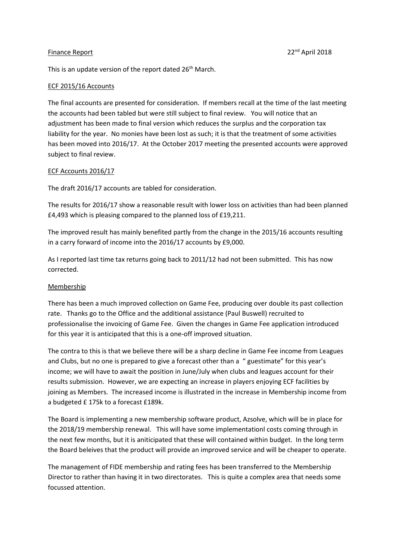### Finance Report 2018 **Properties and Contract April 2018** 22<sup>nd</sup> April 2018

This is an update version of the report dated 26<sup>th</sup> March.

#### ECF 2015/16 Accounts

The final accounts are presented for consideration. If members recall at the time of the last meeting the accounts had been tabled but were still subject to final review. You will notice that an adjustment has been made to final version which reduces the surplus and the corporation tax liability for the year. No monies have been lost as such; it is that the treatment of some activities has been moved into 2016/17. At the October 2017 meeting the presented accounts were approved subject to final review.

#### ECF Accounts 2016/17

The draft 2016/17 accounts are tabled for consideration.

The results for 2016/17 show a reasonable result with lower loss on activities than had been planned £4,493 which is pleasing compared to the planned loss of £19,211.

The improved result has mainly benefited partly from the change in the 2015/16 accounts resulting in a carry forward of income into the 2016/17 accounts by £9,000.

As I reported last time tax returns going back to 2011/12 had not been submitted. This has now corrected.

### Membership

There has been a much improved collection on Game Fee, producing over double its past collection rate. Thanks go to the Office and the additional assistance (Paul Buswell) recruited to professionalise the invoicing of Game Fee. Given the changes in Game Fee application introduced for this year it is anticipated that this is a one-off improved situation.

The contra to this is that we believe there will be a sharp decline in Game Fee income from Leagues and Clubs, but no one is prepared to give a forecast other than a " guestimate" for this year's income; we will have to await the position in June/July when clubs and leagues account for their results submission. However, we are expecting an increase in players enjoying ECF facilities by joining as Members. The increased income is illustrated in the increase in Membership income from a budgeted £ 175k to a forecast £189k.

The Board is implementing a new membership software product, Azsolve, which will be in place for the 2018/19 membership renewal. This will have some implementationl costs coming through in the next few months, but it is aniticipated that these will contained within budget. In the long term the Board beleives that the product will provide an improved service and will be cheaper to operate.

The management of FIDE membership and rating fees has been transferred to the Membership Director to rather than having it in two directorates. This is quite a complex area that needs some focussed attention.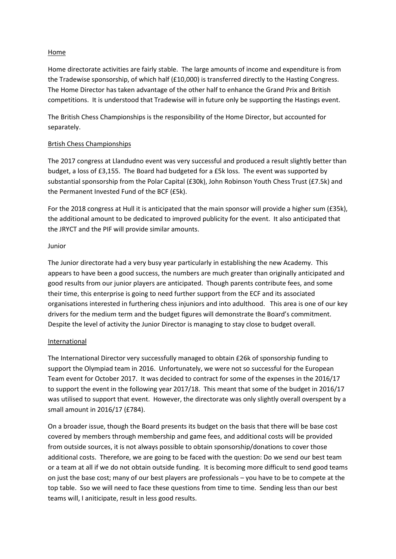## Home

Home directorate activities are fairly stable. The large amounts of income and expenditure is from the Tradewise sponsorship, of which half (£10,000) is transferred directly to the Hasting Congress. The Home Director has taken advantage of the other half to enhance the Grand Prix and British competitions. It is understood that Tradewise will in future only be supporting the Hastings event.

The British Chess Championships is the responsibility of the Home Director, but accounted for separately.

## Brtish Chess Championships

The 2017 congress at Llandudno event was very successful and produced a result slightly better than budget, a loss of £3,155. The Board had budgeted for a £5k loss. The event was supported by substantial sponsorship from the Polar Capital (£30k), John Robinson Youth Chess Trust (£7.5k) and the Permanent Invested Fund of the BCF (£5k).

For the 2018 congress at Hull it is anticipated that the main sponsor will provide a higher sum (£35k), the additional amount to be dedicated to improved publicity for the event. It also anticipated that the JRYCT and the PIF will provide similar amounts.

## Junior

The Junior directorate had a very busy year particularly in establishing the new Academy. This appears to have been a good success, the numbers are much greater than originally anticipated and good results from our junior players are anticipated. Though parents contribute fees, and some their time, this enterprise is going to need further support from the ECF and its associated organisations interested in furthering chess injuniors and into adulthood. This area is one of our key drivers for the medium term and the budget figures will demonstrate the Board's commitment. Despite the level of activity the Junior Director is managing to stay close to budget overall.

### International

The International Director very successfully managed to obtain £26k of sponsorship funding to support the Olympiad team in 2016. Unfortunately, we were not so successful for the European Team event for October 2017. It was decided to contract for some of the expenses in the 2016/17 to support the event in the following year 2017/18. This meant that some of the budget in 2016/17 was utilised to support that event. However, the directorate was only slightly overall overspent by a small amount in 2016/17 (£784).

On a broader issue, though the Board presents its budget on the basis that there will be base cost covered by members through membership and game fees, and additional costs will be provided from outside sources, it is not always possible to obtain sponsorship/donations to cover those additional costs. Therefore, we are going to be faced with the question: Do we send our best team or a team at all if we do not obtain outside funding. It is becoming more difficult to send good teams on just the base cost; many of our best players are professionals – you have to be to compete at the top table. Sso we will need to face these questions from time to time. Sending less than our best teams will, I aniticipate, result in less good results.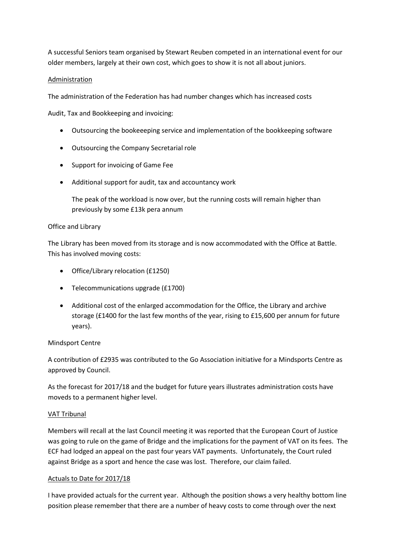A successful Seniors team organised by Stewart Reuben competed in an international event for our older members, largely at their own cost, which goes to show it is not all about juniors.

## Administration

The administration of the Federation has had number changes which has increased costs

Audit, Tax and Bookkeeping and invoicing:

- Outsourcing the bookeeeping service and implementation of the bookkeeping software
- Outsourcing the Company Secretarial role
- Support for invoicing of Game Fee
- Additional support for audit, tax and accountancy work

The peak of the workload is now over, but the running costs will remain higher than previously by some £13k pera annum

## Office and Library

The Library has been moved from its storage and is now accommodated with the Office at Battle. This has involved moving costs:

- Office/Library relocation (£1250)
- Telecommunications upgrade (£1700)
- Additional cost of the enlarged accommodation for the Office, the Library and archive storage (£1400 for the last few months of the year, rising to £15,600 per annum for future years).

# Mindsport Centre

A contribution of £2935 was contributed to the Go Association initiative for a Mindsports Centre as approved by Council.

As the forecast for 2017/18 and the budget for future years illustrates administration costs have moveds to a permanent higher level.

### VAT Tribunal

Members will recall at the last Council meeting it was reported that the European Court of Justice was going to rule on the game of Bridge and the implications for the payment of VAT on its fees. The ECF had lodged an appeal on the past four years VAT payments. Unfortunately, the Court ruled against Bridge as a sport and hence the case was lost. Therefore, our claim failed.

### Actuals to Date for 2017/18

I have provided actuals for the current year. Although the position shows a very healthy bottom line position please remember that there are a number of heavy costs to come through over the next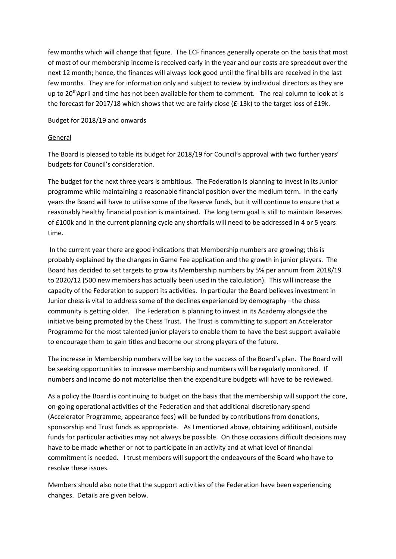few months which will change that figure. The ECF finances generally operate on the basis that most of most of our membership income is received early in the year and our costs are spreadout over the next 12 month; hence, the finances will always look good until the final bills are received in the last few months. They are for information only and subject to review by individual directors as they are up to 20<sup>th</sup>April and time has not been available for them to comment. The real column to look at is the forecast for 2017/18 which shows that we are fairly close (£-13k) to the target loss of £19k.

### Budget for 2018/19 and onwards

### General

The Board is pleased to table its budget for 2018/19 for Council's approval with two further years' budgets for Council's consideration.

The budget for the next three years is ambitious. The Federation is planning to invest in its Junior programme while maintaining a reasonable financial position over the medium term. In the early years the Board will have to utilise some of the Reserve funds, but it will continue to ensure that a reasonably healthy financial position is maintained. The long term goal is still to maintain Reserves of £100k and in the current planning cycle any shortfalls will need to be addressed in 4 or 5 years time.

 In the current year there are good indications that Membership numbers are growing; this is probably explained by the changes in Game Fee application and the growth in junior players. The Board has decided to set targets to grow its Membership numbers by 5% per annum from 2018/19 to 2020/12 (500 new members has actually been used in the calculation). This will increase the capacity of the Federation to support its activities. In particular the Board believes investment in Junior chess is vital to address some of the declines experienced by demography –the chess community is getting older. The Federation is planning to invest in its Academy alongside the initiative being promoted by the Chess Trust. The Trust is committing to support an Accelerator Programme for the most talented junior players to enable them to have the best support available to encourage them to gain titles and become our strong players of the future.

The increase in Membership numbers will be key to the success of the Board's plan. The Board will be seeking opportunities to increase membership and numbers will be regularly monitored. If numbers and income do not materialise then the expenditure budgets will have to be reviewed.

As a policy the Board is continuing to budget on the basis that the membership will support the core, on-going operational activities of the Federation and that additional discretionary spend (Accelerator Programme, appearance fees) will be funded by contributions from donations, sponsorship and Trust funds as appropriate. As I mentioned above, obtaining additioanl, outside funds for particular activities may not always be possible. On those occasions difficult decisions may have to be made whether or not to participate in an activity and at what level of financial commitment is needed. I trust members will support the endeavours of the Board who have to resolve these issues.

Members should also note that the support activities of the Federation have been experiencing changes. Details are given below.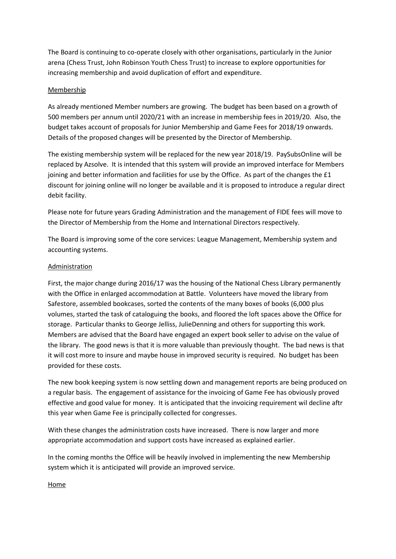The Board is continuing to co-operate closely with other organisations, particularly in the Junior arena (Chess Trust, John Robinson Youth Chess Trust) to increase to explore opportunities for increasing membership and avoid duplication of effort and expenditure.

## Membership

As already mentioned Member numbers are growing. The budget has been based on a growth of 500 members per annum until 2020/21 with an increase in membership fees in 2019/20. Also, the budget takes account of proposals for Junior Membership and Game Fees for 2018/19 onwards. Details of the proposed changes will be presented by the Director of Membership.

The existing membership system will be replaced for the new year 2018/19. PaySubsOnline will be replaced by Azsolve. It is intended that this system will provide an improved interface for Members joining and better information and facilities for use by the Office. As part of the changes the £1 discount for joining online will no longer be available and it is proposed to introduce a regular direct debit facility.

Please note for future years Grading Administration and the management of FIDE fees will move to the Director of Membership from the Home and International Directors respectively.

The Board is improving some of the core services: League Management, Membership system and accounting systems.

## Administration

First, the major change during 2016/17 was the housing of the National Chess Library permanently with the Office in enlarged accommodation at Battle. Volunteers have moved the library from Safestore, assembled bookcases, sorted the contents of the many boxes of books (6,000 plus volumes, started the task of cataloguing the books, and floored the loft spaces above the Office for storage. Particular thanks to George Jelliss, JulieDenning and others for supporting this work. Members are advised that the Board have engaged an expert book seller to advise on the value of the library. The good news is that it is more valuable than previously thought. The bad news is that it will cost more to insure and maybe house in improved security is required. No budget has been provided for these costs.

The new book keeping system is now settling down and management reports are being produced on a regular basis. The engagement of assistance for the invoicing of Game Fee has obviously proved effective and good value for money. It is anticipated that the invoicing requirement wil decline aftr this year when Game Fee is principally collected for congresses.

With these changes the administration costs have increased. There is now larger and more appropriate accommodation and support costs have increased as explained earlier.

In the coming months the Office will be heavily involved in implementing the new Membership system which it is anticipated will provide an improved service.

Home